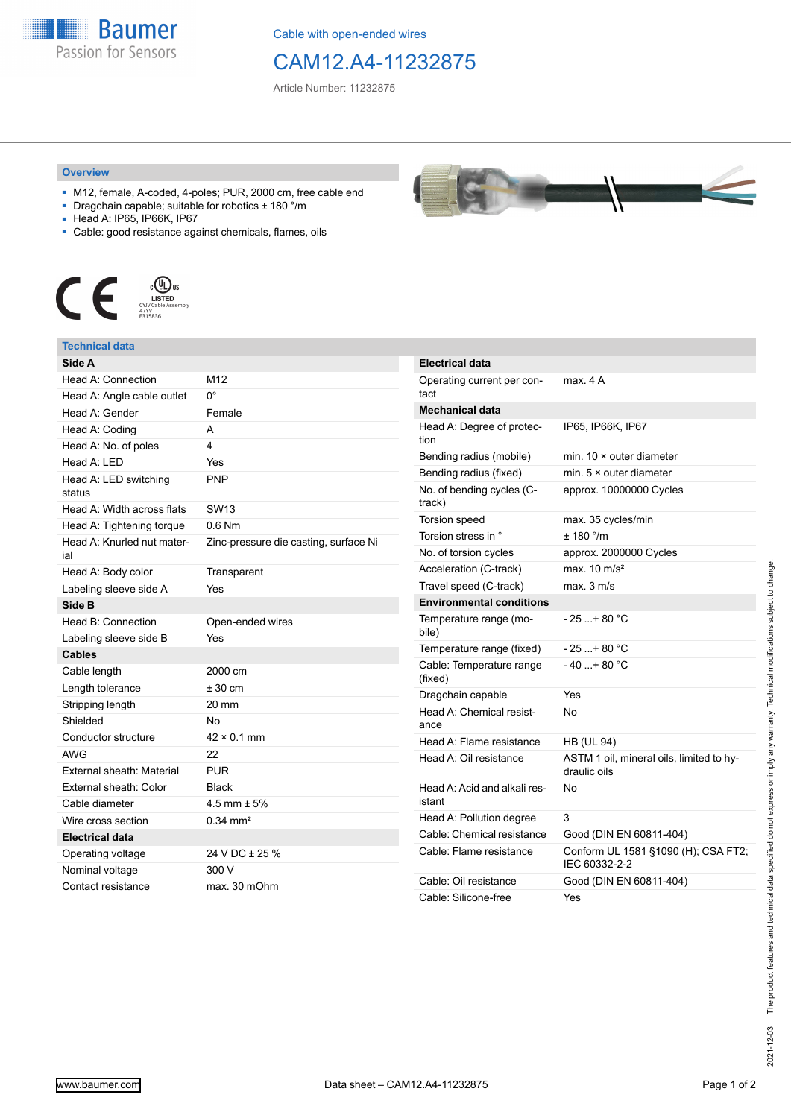

Cable with open-ended wires

## CAM12.A4-11232875

Article Number: 11232875

## **Overview**

- M12, female, A-coded, 4-poles; PUR, 2000 cm, free cable end
- Dragchain capable; suitable for robotics ± 180 °/m
- Head A: IP65, IP66K, IP67
- Cable: good resistance against chemicals, flames, oils



## **Technical data**

| Side A                            |                                       |
|-----------------------------------|---------------------------------------|
| Head A: Connection                | M12                                   |
| Head A: Angle cable outlet        | 0°                                    |
| Head A: Gender                    | Female                                |
| Head A: Coding                    | A                                     |
| Head A: No. of poles              | 4                                     |
| Head A: LED                       | Yes                                   |
| Head A: LED switching<br>status   | <b>PNP</b>                            |
| Head A: Width across flats        | <b>SW13</b>                           |
| Head A: Tightening torque         | $0.6$ Nm                              |
| Head A: Knurled nut mater-<br>ial | Zinc-pressure die casting, surface Ni |
| Head A: Body color                | Transparent                           |
| Labeling sleeve side A            | Yes                                   |
| Side B                            |                                       |
| Head B: Connection                | Open-ended wires                      |
| Labeling sleeve side B            | Yes                                   |
| <b>Cables</b>                     |                                       |
| Cable length                      | 2000 cm                               |
| Length tolerance                  | $± 30$ cm                             |
| Stripping length                  | 20 mm                                 |
| Shielded                          | No                                    |
| Conductor structure               | $42 \times 0.1$ mm                    |
| <b>AWG</b>                        | 22                                    |
| External sheath: Material         | <b>PUR</b>                            |
| External sheath: Color            | <b>Black</b>                          |
| Cable diameter                    | $4.5$ mm $\pm$ 5%                     |
| Wire cross section                | $0.34 \text{ mm}^2$                   |
| Electrical data                   |                                       |
| Operating voltage                 | 24 V DC ± 25 %                        |
| Nominal voltage                   | 300 V                                 |
| Contact resistance                | max. 30 mOhm                          |



| <b>Electrical data</b>                 |                                                          |
|----------------------------------------|----------------------------------------------------------|
| Operating current per con-<br>tact     | max. 4 A                                                 |
| Mechanical data                        |                                                          |
| Head A: Degree of protec-<br>tion      | IP65. IP66K. IP67                                        |
| Bending radius (mobile)                | min. $10 \times$ outer diameter                          |
| Bending radius (fixed)                 | min. $5 \times$ outer diameter                           |
| No. of bending cycles (C-<br>track)    | approx. 10000000 Cycles                                  |
| Torsion speed                          | max. 35 cycles/min                                       |
| Torsion stress in °                    | $± 180$ °/m                                              |
| No. of torsion cycles                  | approx. 2000000 Cycles                                   |
| Acceleration (C-track)                 | max. $10 \text{ m/s}^2$                                  |
| Travel speed (C-track)                 | max. 3 m/s                                               |
| <b>Environmental conditions</b>        |                                                          |
| Temperature range (mo-<br>bile)        | - 25 + 80 °C                                             |
| Temperature range (fixed)              | $-25+80 °C$                                              |
| Cable: Temperature range<br>(fixed)    | $-40+80 °C$                                              |
| Dragchain capable                      | Yes                                                      |
| Head A: Chemical resist-<br>ance       | No                                                       |
| Head A: Flame resistance               | <b>HB (UL 94)</b>                                        |
| Head A: Oil resistance                 | ASTM 1 oil, mineral oils, limited to hy-<br>draulic oils |
| Head A: Acid and alkali res-<br>istant | No                                                       |
| Head A: Pollution degree               | 3                                                        |
| Cable: Chemical resistance             | Good (DIN EN 60811-404)                                  |
| Cable: Flame resistance                | Conform UL 1581 §1090 (H); CSA FT2;<br>IEC 60332-2-2     |
| Cable: Oil resistance                  | Good (DIN EN 60811-404)                                  |
| Cable: Silicone-free                   | Yes                                                      |